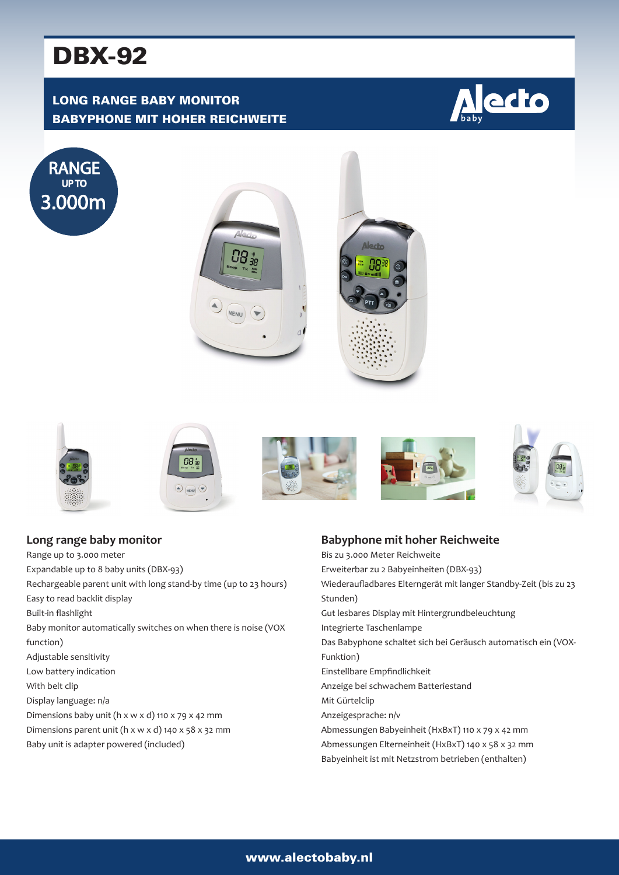# DBX-92

## LONG RANGE BABY MONITOR BABYPHONE MIT HOHER REICHWEITE



















| Long range baby monitor                                                       |
|-------------------------------------------------------------------------------|
| Range up to 3.000 meter                                                       |
| Expandable up to 8 baby units (DBX-93)                                        |
| Rechargeable parent unit with long stand-by time (up to 23 hours)             |
| Easy to read backlit display                                                  |
| Built-in flashlight                                                           |
| Baby monitor automatically switches on when there is noise (VOX               |
| function)                                                                     |
| Adjustable sensitivity                                                        |
| Low battery indication                                                        |
| With belt clip                                                                |
| Display language: n/a                                                         |
| Dimensions baby unit ( $h \times w \times d$ ) 110 $\times$ 79 $\times$ 42 mm |
| Dimensions parent unit (h x w x d) 140 x 58 x 32 mm                           |
| Baby unit is adapter powered (included)                                       |
|                                                                               |

#### **Babyphone mit hoher Reichweite**

Bis zu 3.000 Meter Reichweite Erweiterbar zu 2 Babyeinheiten (DBX-93) Wiederaufladbares Elterngerät mit langer Standby-Zeit (bis zu 23 Stunden) Gut lesbares Display mit Hintergrundbeleuchtung Integrierte Taschenlampe Das Babyphone schaltet sich bei Geräusch automatisch ein (VOX-Funktion) Einstellbare Empfindlichkeit Anzeige bei schwachem Batteriestand Mit Gürtelclip Anzeigesprache: n/v Abmessungen Babyeinheit (HxBxT) 110 x 79 x 42 mm Abmessungen Elterneinheit (HxBxT) 140 x 58 x 32 mm Babyeinheit ist mit Netzstrom betrieben (enthalten)